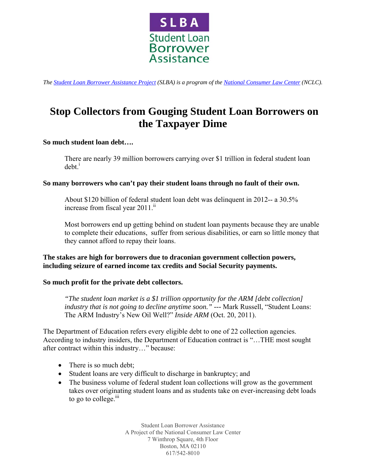

*The [Student Loan Borrower Assistance Project \(](http://www.studentloanborrowerassistance.org/)SLBA) is a program of the [National Consumer Law Center](http://www.nclc.org/) (NCLC).* 

# **Stop Collectors from Gouging Student Loan Borrowers on the Taxpayer Dime**

## **So much student loan debt….**

There are nearly 39 million borrowers carrying over \$1 trillion in federal student loan  $debt.<sup>i</sup>$ 

## **So many borrowers who can't pay their student loans through no fault of their own.**

About \$120 billion of federal student loan debt was delinquent in 2012-- a 30.5% increase from fiscal year 2011.<sup>ii</sup>

Most borrowers end up getting behind on student loan payments because they are unable to complete their educations, suffer from serious disabilities, or earn so little money that they cannot afford to repay their loans.

**The stakes are high for borrowers due to draconian government collection powers, including seizure of earned income tax credits and Social Security payments.** 

## **So much profit for the private debt collectors.**

*"The student loan market is a \$1 trillion opportunity for the ARM [debt collection] industry that is not going to decline anytime soon." ---* Mark Russell, "Student Loans: The ARM Industry's New Oil Well?" *Inside ARM* (Oct. 20, 2011).

The Department of Education refers every eligible debt to one of 22 collection agencies. According to industry insiders, the Department of Education contract is "…THE most sought after contract within this industry…" because:

- There is so much debt;
- Student loans are very difficult to discharge in bankruptcy; and
- The business volume of federal student loan collections will grow as the government takes over originating student loans and as students take on ever-increasing debt loads to go to college. $\mathbf{u}$

Student Loan Borrower Assistance A Project of the National Consumer Law Center 7 Winthrop Square, 4th Floor Boston, MA 02110 617/542-8010